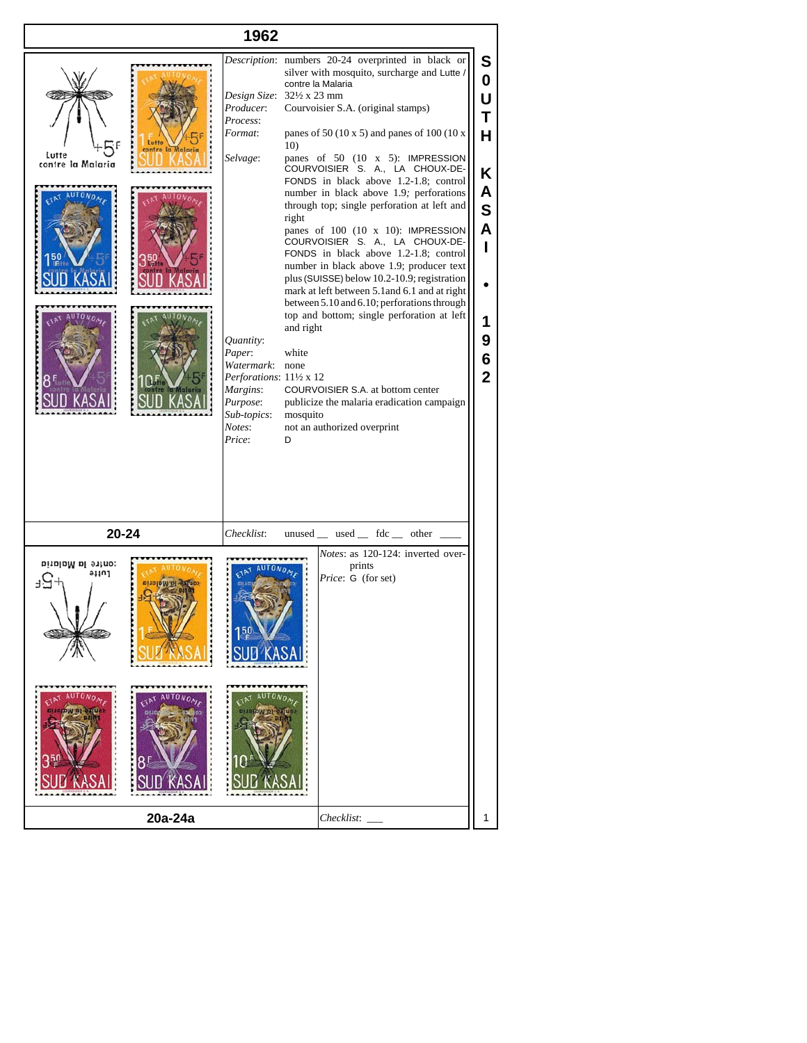| 1962                                                    |                                                                                                                                                                                                      |                                                                                                                                                                                                                                                                                                                                                                                                                                                                                                                                                                                                                                                                                                                                                                                                                                                                                                                                                                   |                                                                                                          |
|---------------------------------------------------------|------------------------------------------------------------------------------------------------------------------------------------------------------------------------------------------------------|-------------------------------------------------------------------------------------------------------------------------------------------------------------------------------------------------------------------------------------------------------------------------------------------------------------------------------------------------------------------------------------------------------------------------------------------------------------------------------------------------------------------------------------------------------------------------------------------------------------------------------------------------------------------------------------------------------------------------------------------------------------------------------------------------------------------------------------------------------------------------------------------------------------------------------------------------------------------|----------------------------------------------------------------------------------------------------------|
| Lutte<br>ontre la Malaria<br>Lutte<br>contre la Malaria | Design Size: 321/2 x 23 mm<br>Producer:<br>Process:<br>Format:<br>Selvage:<br>Quantity:<br>Paper:<br>Watermark:<br>Perforations: 11½ x 12<br>Margins:<br>Purpose:<br>Sub-topics:<br>Notes:<br>Price: | Description: numbers 20-24 overprinted in black or<br>silver with mosquito, surcharge and Lutte /<br>contre la Malaria<br>Courvoisier S.A. (original stamps)<br>panes of 50 (10 x 5) and panes of 100 (10 x<br>10)<br>panes of 50 (10 x 5): IMPRESSION<br>COURVOISIER S. A., LA CHOUX-DE-<br>FONDS in black above 1.2-1.8; control<br>number in black above 1.9; perforations<br>through top; single perforation at left and<br>right<br>panes of 100 (10 x 10): IMPRESSION<br>COURVOISIER S. A., LA CHOUX-DE-<br>FONDS in black above 1.2-1.8; control<br>number in black above 1.9; producer text<br>plus (SUISSE) below 10.2-10.9; registration<br>mark at left between 5.1 and 6.1 and at right<br>between 5.10 and 6.10; perforations through<br>top and bottom; single perforation at left<br>and right<br>white<br>none<br>COURVOISIER S.A. at bottom center<br>publicize the malaria eradication campaign<br>mosquito<br>not an authorized overprint<br>D | S<br>$\boldsymbol{0}$<br>U<br>T<br>H<br>Κ<br>A<br>$\mathbf S$<br>A<br>L<br>1<br>9<br>6<br>$\overline{2}$ |
| 20-24                                                   | Checklist:                                                                                                                                                                                           | unused __ used __ fdc __ other _                                                                                                                                                                                                                                                                                                                                                                                                                                                                                                                                                                                                                                                                                                                                                                                                                                                                                                                                  |                                                                                                          |
| contre la Maiaria<br>ашат                               |                                                                                                                                                                                                      | Notes: as 120-124: inverted over-<br>prints<br>Price: G (for set)                                                                                                                                                                                                                                                                                                                                                                                                                                                                                                                                                                                                                                                                                                                                                                                                                                                                                                 |                                                                                                          |
| 20a-24a                                                 |                                                                                                                                                                                                      | Checklist:                                                                                                                                                                                                                                                                                                                                                                                                                                                                                                                                                                                                                                                                                                                                                                                                                                                                                                                                                        | 1                                                                                                        |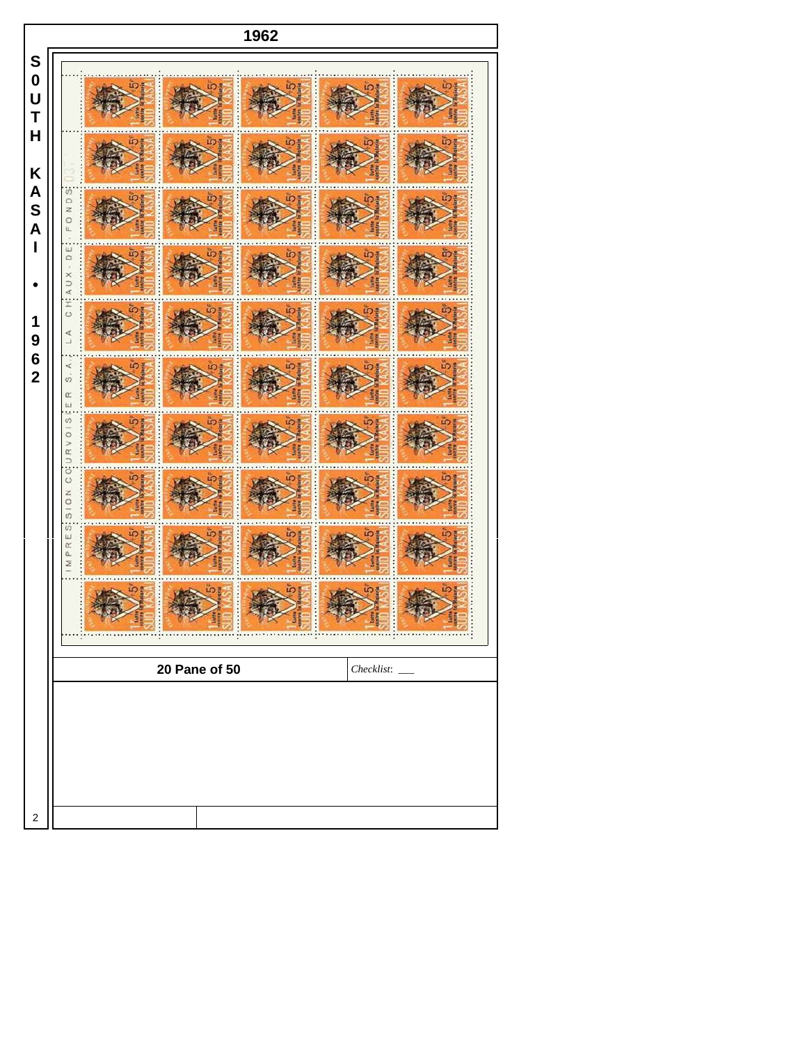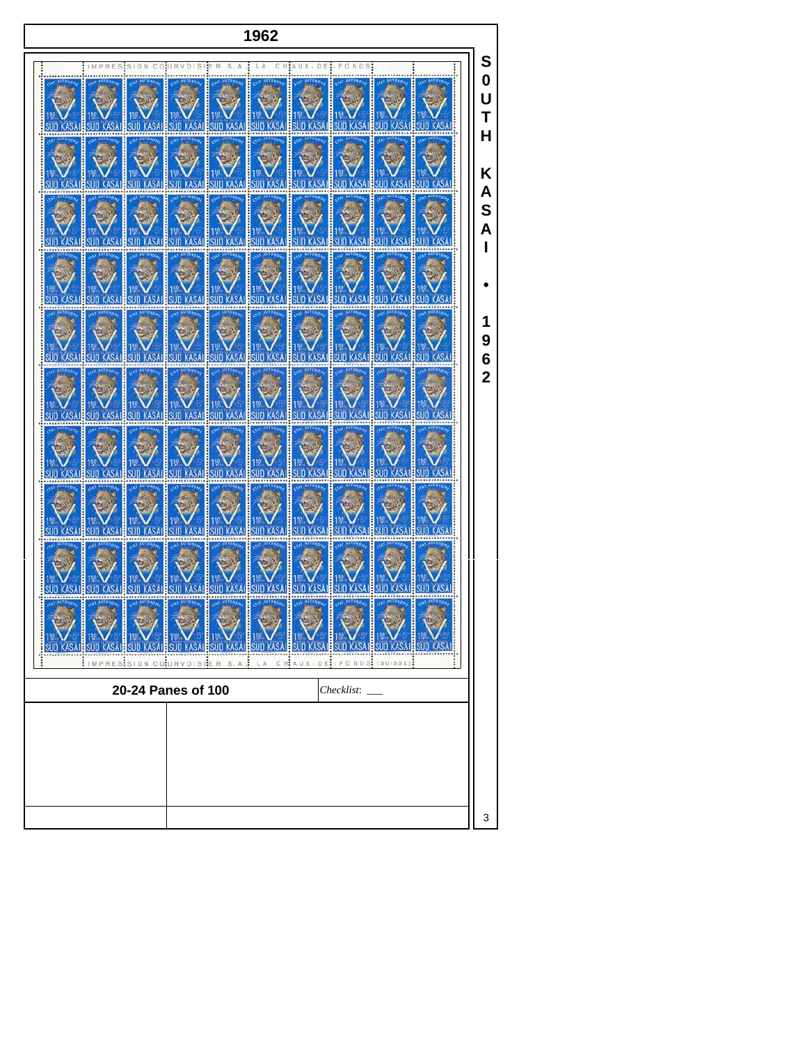